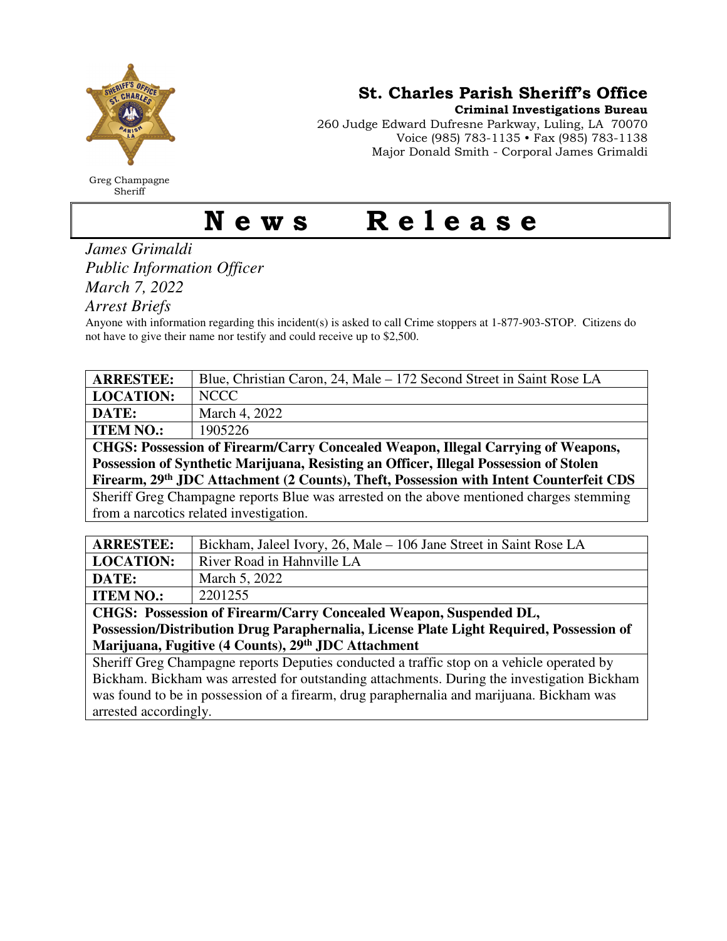

Greg Champagne Sheriff

St. Charles Parish Sheriff's Office

Criminal Investigations Bureau

260 Judge Edward Dufresne Parkway, Luling, LA 70070 Voice (985) 783-1135 • Fax (985) 783-1138 Major Donald Smith - Corporal James Grimaldi

## News Release

*James Grimaldi Public Information Officer March 7, 2022* 

*Arrest Briefs* 

Anyone with information regarding this incident(s) is asked to call Crime stoppers at 1-877-903-STOP. Citizens do not have to give their name nor testify and could receive up to \$2,500.

| <b>ARRESTEE:</b>                                                                         | Blue, Christian Caron, 24, Male - 172 Second Street in Saint Rose LA |
|------------------------------------------------------------------------------------------|----------------------------------------------------------------------|
| <b>LOCATION:</b>                                                                         | <b>NCCC</b>                                                          |
| DATE:                                                                                    | March 4, 2022                                                        |
| <b>ITEM NO.:</b>                                                                         | 1905226                                                              |
| CHGS: Possession of Firearm/Carry Concealed Weapon, Illegal Carrying of Weapons,         |                                                                      |
| Possession of Synthetic Marijuana, Resisting an Officer, Illegal Possession of Stolen    |                                                                      |
| Firearm, 29th JDC Attachment (2 Counts), Theft, Possession with Intent Counterfeit CDS   |                                                                      |
| Sheriff Greg Champagne reports Blue was arrested on the above mentioned charges stemming |                                                                      |
| from a narcotics related investigation.                                                  |                                                                      |
|                                                                                          |                                                                      |
| <b>ARRESTEE:</b>                                                                         | Bickham, Jaleel Ivory, 26, Male – 106 Jane Street in Saint Rose LA   |
| <b>LOCATION:</b>                                                                         | River Road in Hahnville LA                                           |
| DATE:                                                                                    | March 5, 2022                                                        |
| <b>ITEM NO.:</b>                                                                         | 2201255                                                              |

**CHGS: Possession of Firearm/Carry Concealed Weapon, Suspended DL, Possession/Distribution Drug Paraphernalia, License Plate Light Required, Possession of Marijuana, Fugitive (4 Counts), 29th JDC Attachment** 

Sheriff Greg Champagne reports Deputies conducted a traffic stop on a vehicle operated by Bickham. Bickham was arrested for outstanding attachments. During the investigation Bickham was found to be in possession of a firearm, drug paraphernalia and marijuana. Bickham was arrested accordingly.